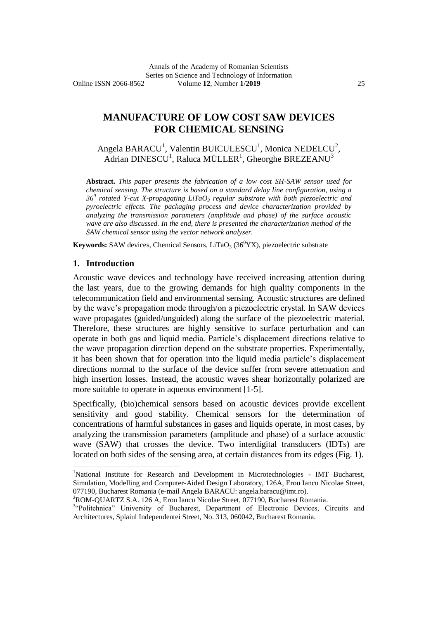# **MANUFACTURE OF LOW COST SAW DEVICES FOR CHEMICAL SENSING**

Angela BARACU<sup>1</sup>, Valentin BUICULESCU<sup>1</sup>, Monica NEDELCU<sup>2</sup>, Adrian DINESCU $^1$ , Raluca MÜLLER $^1$ , Gheorghe BREZEANU $^3$ 

**Abstract.** *This paper presents the fabrication of a low cost SH-SAW sensor used for chemical sensing. The structure is based on a standard delay line configuration, using a 36<sup>0</sup> rotated Y-cut X-propagating LiTaO<sup>3</sup> regular substrate with both piezoelectric and pyroelectric effects. The packaging process and device characterization provided by analyzing the transmission parameters (amplitude and phase) of the surface acoustic wave are also discussed. In the end, there is presented the characterization method of the SAW chemical sensor using the vector network analyser.*

**Keywords:** SAW devices, Chemical Sensors, LiTaO<sub>3</sub> ( $36^{\circ}$ YX), piezoelectric substrate

#### **1. Introduction**

 $\overline{a}$ 

Acoustic wave devices and technology have received increasing attention during the last years, due to the growing demands for high quality components in the telecommunication field and environmental sensing. Acoustic structures are defined by the wave's propagation mode through/on a piezoelectric crystal. In SAW devices wave propagates (guided/unguided) along the surface of the piezoelectric material. Therefore, these structures are highly sensitive to surface perturbation and can operate in both gas and liquid media. Particle's displacement directions relative to the wave propagation direction depend on the substrate properties. Experimentally, it has been shown that for operation into the liquid media particle's displacement directions normal to the surface of the device suffer from severe attenuation and high insertion losses. Instead, the acoustic waves shear horizontally polarized are more suitable to operate in aqueous environment [1-5].

Specifically, (bio)chemical sensors based on acoustic devices provide excellent sensitivity and good stability. Chemical sensors for the determination of concentrations of harmful substances in gases and liquids operate, in most cases, by analyzing the transmission parameters (amplitude and phase) of a surface acoustic wave (SAW) that crosses the device. Two interdigital transducers (IDTs) are located on both sides of the sensing area, at certain distances from its edges (Fig. 1).

<sup>&</sup>lt;sup>1</sup>National Institute for Research and Development in Microtechnologies - IMT Bucharest, Simulation, Modelling and Computer-Aided Design Laboratory, 126A, Erou Iancu Nicolae Street, 077190, Bucharest Romania (e-mail Angela BARACU: angela.baracu@imt.ro).

<sup>&</sup>lt;sup>2</sup>ROM-QUARTZ S.A. 126 A, Erou Iancu Nicolae Street, 077190, Bucharest Romania.

<sup>&</sup>lt;sup>3.</sup>Politehnica" University of Bucharest, Department of Electronic Devices, Circuits and Architectures, Splaiul Independentei Street, No. 313, 060042, Bucharest Romania.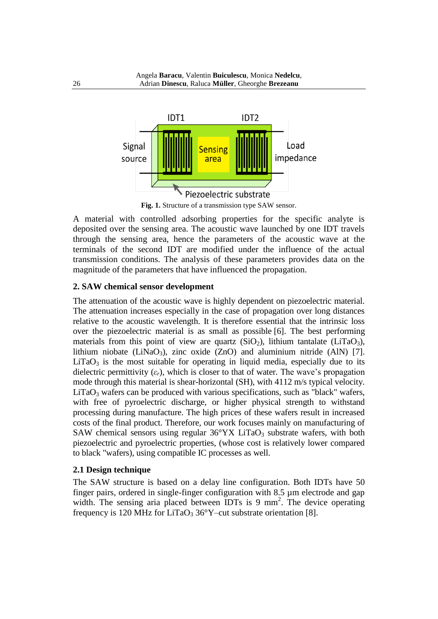

**Fig. 1.** Structure of a transmission type SAW sensor.

A material with controlled adsorbing properties for the specific analyte is deposited over the sensing area. The acoustic wave launched by one IDT travels through the sensing area, hence the parameters of the acoustic wave at the terminals of the second IDT are modified under the influence of the actual transmission conditions. The analysis of these parameters provides data on the magnitude of the parameters that have influenced the propagation.

### **2. SAW chemical sensor development**

The attenuation of the acoustic wave is highly dependent on piezoelectric material. The attenuation increases especially in the case of propagation over long distances relative to the acoustic wavelength. It is therefore essential that the intrinsic loss over the piezoelectric material is as small as possible [6]. The best performing materials from this point of view are quartz  $(SiO<sub>2</sub>)$ , lithium tantalate  $(LiTaO<sub>3</sub>)$ , lithium niobate (LiNaO<sub>3</sub>), zinc oxide (ZnO) and aluminium nitride (AlN) [7].  $LiTaO<sub>3</sub>$  is the most suitable for operating in liquid media, especially due to its dielectric permittivity  $(\varepsilon_r)$ , which is closer to that of water. The wave's propagation mode through this material is shear-horizontal (SH), with 4112 m/s typical velocity.  $LiTaO<sub>3</sub>$  wafers can be produced with various specifications, such as "black" wafers, with free of pyroelectric discharge, or higher physical strength to withstand processing during manufacture. The high prices of these wafers result in increased costs of the final product. Therefore, our work focuses mainly on manufacturing of SAW chemical sensors using regular  $36^{\circ}$ YX LiTaO<sub>3</sub> substrate wafers, with both piezoelectric and pyroelectric properties, (whose cost is relatively lower compared to black "wafers), using compatible IC processes as well.

### **2.1 Design technique**

The SAW structure is based on a delay line configuration. Both IDTs have 50 finger pairs, ordered in single-finger configuration with 8.5 µm electrode and gap width. The sensing aria placed between IDTs is 9 mm<sup>2</sup>. The device operating frequency is 120 MHz for LiTaO<sub>3</sub> 36°Y–cut substrate orientation [8].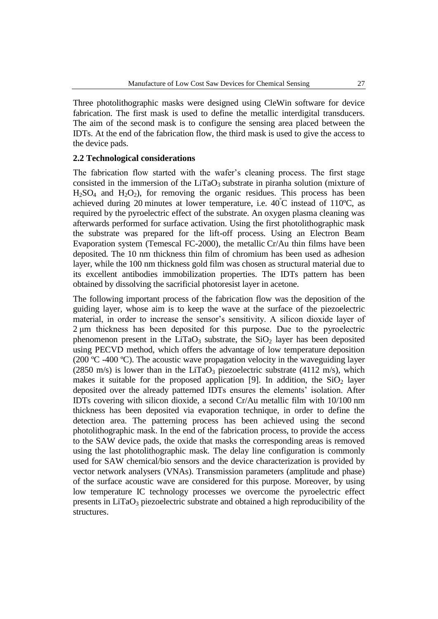Three photolithographic masks were designed using CleWin software for device fabrication. The first mask is used to define the metallic interdigital transducers. The aim of the second mask is to configure the sensing area placed between the IDTs. At the end of the fabrication flow, the third mask is used to give the access to the device pads.

## **2.2 Technological considerations**

The fabrication flow started with the wafer's cleaning process. The first stage consisted in the immersion of the  $LiTaO<sub>3</sub>$  substrate in piranha solution (mixture of  $H<sub>2</sub>SO<sub>4</sub>$  and  $H<sub>2</sub>O<sub>2</sub>$ ), for removing the [organic](https://en.wikipedia.org/wiki/Organic_compound) residues. This process has been achieved during 20 minutes at lower temperature, i.e.  $40^{\circ}$ C instead of 110°C, as required by the pyroelectric effect of the substrate. An oxygen plasma cleaning was afterwards performed for surface activation. Using the first photolithographic mask the substrate was prepared for the lift-off process. Using an Electron Beam Evaporation system (Temescal FC-2000), the metallic Cr/Au thin films have been deposited. The 10 nm thickness thin film of chromium has been used as adhesion layer, while the 100 nm thickness gold film was chosen as structural material due to its excellent antibodies immobilization properties. The IDTs pattern has been obtained by dissolving the sacrificial photoresist layer in acetone.

The following important process of the fabrication flow was the deposition of the guiding layer, whose aim is to keep the wave at the surface of the piezoelectric material, in order to increase the sensor's sensitivity. A silicon dioxide layer of 2 μm thickness has been deposited for this purpose. Due to the pyroelectric phenomenon present in the LiTaO<sub>3</sub> substrate, the  $SiO<sub>2</sub>$  layer has been deposited using PECVD method, which offers the advantage of low temperature deposition (200 ºC -400 ºC). The acoustic wave propagation velocity in the waveguiding layer (2850 m/s) is lower than in the LiTaO<sub>3</sub> piezoelectric substrate (4112 m/s), which makes it suitable for the proposed application [9]. In addition, the  $SiO<sub>2</sub>$  layer deposited over the already patterned IDTs ensures the elements' isolation. After IDTs covering with silicon dioxide, a second Cr/Au metallic film with 10/100 nm thickness has been deposited via evaporation technique, in order to define the detection area. The patterning process has been achieved using the second photolithographic mask. In the end of the fabrication process, to provide the access to the SAW device pads, the oxide that masks the corresponding areas is removed using the last photolithographic mask. The delay line configuration is commonly used for SAW chemical/bio sensors and the device characterization is provided by vector network analysers (VNAs). Transmission parameters (amplitude and phase) of the surface acoustic wave are considered for this purpose. Moreover, by using low temperature IC technology processes we overcome the pyroelectric effect presents in LiTaO<sub>3</sub> piezoelectric substrate and obtained a high reproducibility of the structures.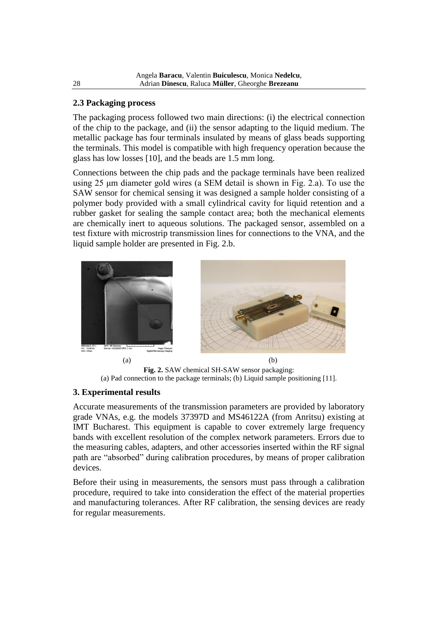## **2.3 Packaging process**

The packaging process followed two main directions: (i) the electrical connection of the chip to the package, and (ii) the sensor adapting to the liquid medium. The metallic package has four terminals insulated by means of glass beads supporting the terminals. This model is compatible with high frequency operation because the glass has low losses [10], and the beads are 1.5 mm long.

Connections between the chip pads and the package terminals have been realized using 25 μm diameter gold wires (a SEM detail is shown in Fig. 2.a). To use the SAW sensor for chemical sensing it was designed a sample holder consisting of a polymer body provided with a small cylindrical cavity for liquid retention and a rubber gasket for sealing the sample contact area; both the mechanical elements are chemically inert to aqueous solutions. The packaged sensor, assembled on a test fixture with microstrip transmission lines for connections to the VNA, and the liquid sample holder are presented in Fig. 2.b.



**Fig. 2.** SAW chemical SH-SAW sensor packaging: (a) Pad connection to the package terminals; (b) Liquid sample positioning [11].

## **3. Experimental results**

Accurate measurements of the transmission parameters are provided by laboratory grade VNAs, e.g. the models 37397D and MS46122A (from Anritsu) existing at IMT Bucharest. This equipment is capable to cover extremely large frequency bands with excellent resolution of the complex network parameters. Errors due to the measuring cables, adapters, and other accessories inserted within the RF signal path are "absorbed" during calibration procedures, by means of proper calibration devices.

Before their using in measurements, the sensors must pass through a calibration procedure, required to take into consideration the effect of the material properties and manufacturing tolerances. After RF calibration, the sensing devices are ready for regular measurements.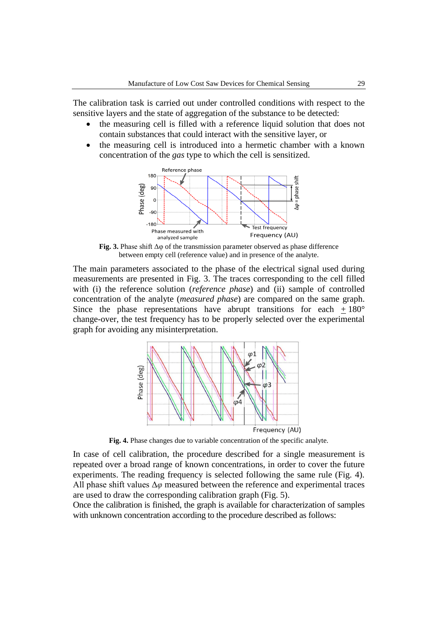The calibration task is carried out under controlled conditions with respect to the sensitive layers and the state of aggregation of the substance to be detected:

- the measuring cell is filled with a reference liquid solution that does not contain substances that could interact with the sensitive layer, or
- the measuring cell is introduced into a hermetic chamber with a known concentration of the *gas* type to which the cell is sensitized.



**Fig. 3.** Phase shift  $\Delta \varphi$  of the transmission parameter observed as phase difference between empty cell (reference value) and in presence of the analyte.

The main parameters associated to the phase of the electrical signal used during measurements are presented in Fig. 3. The traces corresponding to the cell filled with (i) the reference solution (*reference phase*) and (ii) sample of controlled concentration of the analyte (*measured phase*) are compared on the same graph. Since the phase representations have abrupt transitions for each  $+180^{\circ}$ change-over, the test frequency has to be properly selected over the experimental graph for avoiding any misinterpretation.



**Fig. 4.** Phase changes due to variable concentration of the specific analyte.

In case of cell calibration, the procedure described for a single measurement is repeated over a broad range of known concentrations, in order to cover the future experiments. The reading frequency is selected following the same rule (Fig. 4). All phase shift values  $\Delta\varphi$  measured between the reference and experimental traces are used to draw the corresponding calibration graph (Fig. 5).

Once the calibration is finished, the graph is available for characterization of samples with unknown concentration according to the procedure described as follows: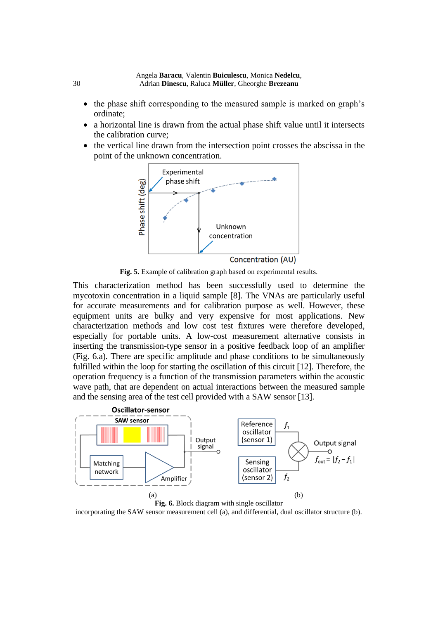- the phase shift corresponding to the measured sample is marked on graph's ordinate;
- a horizontal line is drawn from the actual phase shift value until it intersects the calibration curve;
- the vertical line drawn from the intersection point crosses the abscissa in the point of the unknown concentration.



**Fig. 5.** Example of calibration graph based on experimental results.

This characterization method has been successfully used to determine the mycotoxin concentration in a liquid sample [8]. The VNAs are particularly useful for accurate measurements and for calibration purpose as well. However, these equipment units are bulky and very expensive for most applications. New characterization methods and low cost test fixtures were therefore developed, especially for portable units. A low-cost measurement alternative consists in inserting the transmission-type sensor in a positive feedback loop of an amplifier (Fig. 6.a). There are specific amplitude and phase conditions to be simultaneously fulfilled within the loop for starting the oscillation of this circuit [12]. Therefore, the operation frequency is a function of the transmission parameters within the acoustic wave path, that are dependent on actual interactions between the measured sample and the sensing area of the test cell provided with a SAW sensor [13].



incorporating the SAW sensor measurement cell (a), and differential, dual oscillator structure (b).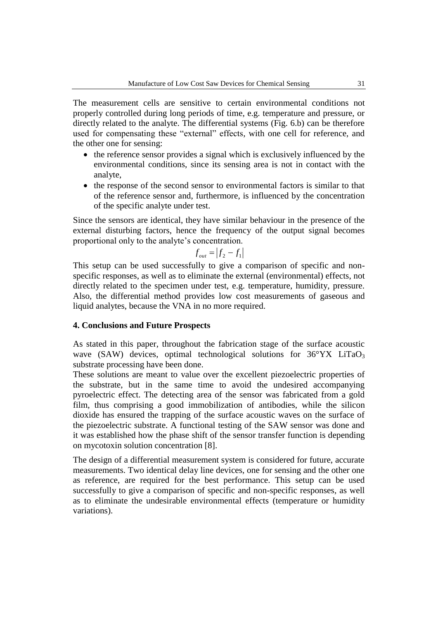The measurement cells are sensitive to certain environmental conditions not properly controlled during long periods of time, e.g. temperature and pressure, or directly related to the analyte. The differential systems (Fig. 6.b) can be therefore used for compensating these "external" effects, with one cell for reference, and the other one for sensing:

- the reference sensor provides a signal which is exclusively influenced by the environmental conditions, since its sensing area is not in contact with the analyte,
- the response of the second sensor to environmental factors is similar to that of the reference sensor and, furthermore, is influenced by the concentration of the specific analyte under test.

Since the sensors are identical, they have similar behaviour in the presence of the external disturbing factors, hence the frequency of the output signal becomes proportional only to the analyte's concentration.

$$
f_{out} = \left| f_2 - f_1 \right|
$$

This setup can be used successfully to give a comparison of specific and nonspecific responses, as well as to eliminate the external (environmental) effects, not directly related to the specimen under test, e.g. temperature, humidity, pressure. Also, the differential method provides low cost measurements of gaseous and liquid analytes, because the VNA in no more required.

#### **4. Conclusions and Future Prospects**

As stated in this paper, throughout the fabrication stage of the surface acoustic wave (SAW) devices, optimal technological solutions for  $36^{\circ}$ YX LiTaO<sub>3</sub> substrate processing have been done.

These solutions are meant to value over the excellent piezoelectric properties of the substrate, but in the same time to avoid the undesired accompanying pyroelectric effect. The detecting area of the sensor was fabricated from a gold film, thus comprising a good immobilization of antibodies, while the silicon dioxide has ensured the trapping of the surface acoustic waves on the surface of the piezoelectric substrate. A functional testing of the SAW sensor was done and it was established how the phase shift of the sensor transfer function is depending on mycotoxin solution concentration [8].

The design of a differential measurement system is considered for future, accurate measurements. Two identical delay line devices, one for sensing and the other one as reference, are required for the best performance. This setup can be used successfully to give a comparison of specific and non-specific responses, as well as to eliminate the undesirable environmental effects (temperature or humidity variations).